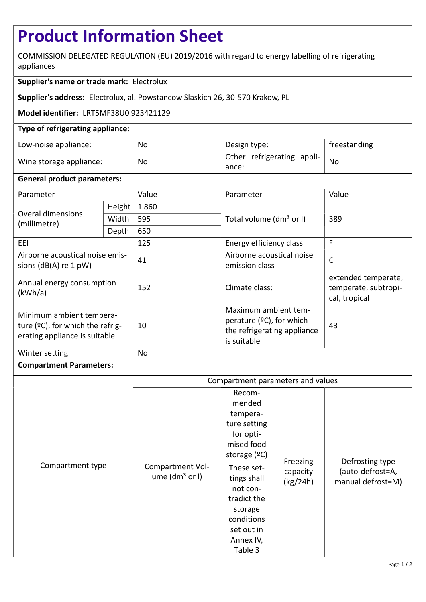# **Product Information Sheet**

COMMISSION DELEGATED REGULATION (EU) 2019/2016 with regard to energy labelling of refrigerating appliances

## **Supplier's name or trade mark:** Electrolux

**Supplier's address:** Electrolux, al. Powstancow Slaskich 26, 30-570 Krakow, PL

## **Model identifier:** LRT5MF38U0 923421129

## **Type of refrigerating appliance:**

| Low-noise appliance:    | No | Design type:                        | freestanding |
|-------------------------|----|-------------------------------------|--------------|
| Wine storage appliance: | No | Other refrigerating appli-<br>ance: | <b>No</b>    |

#### **General product parameters:**

| Parameter                                                                                     |        | Value | Parameter                                                                                         | Value                                                        |
|-----------------------------------------------------------------------------------------------|--------|-------|---------------------------------------------------------------------------------------------------|--------------------------------------------------------------|
| Overal dimensions<br>(millimetre)                                                             | Height | 1860  |                                                                                                   | 389                                                          |
|                                                                                               | Width  | 595   | Total volume (dm <sup>3</sup> or I)                                                               |                                                              |
|                                                                                               | Depth  | 650   |                                                                                                   |                                                              |
| EEI                                                                                           |        | 125   | Energy efficiency class                                                                           | F                                                            |
| Airborne acoustical noise emis-<br>sions $(dB(A)$ re 1 pW)                                    |        | 41    | Airborne acoustical noise<br>emission class                                                       | $\mathsf{C}$                                                 |
| Annual energy consumption<br>(kWh/a)                                                          |        | 152   | Climate class:                                                                                    | extended temperate,<br>temperate, subtropi-<br>cal, tropical |
| Minimum ambient tempera-<br>ture (°C), for which the refrig-<br>erating appliance is suitable |        | 10    | Maximum ambient tem-<br>perature $(°C)$ , for which<br>the refrigerating appliance<br>is suitable | 43                                                           |
| Winter setting                                                                                |        | No    |                                                                                                   |                                                              |

#### **Compartment Parameters:**

|                  | Compartment parameters and values      |                                                                                                                                                                                                                  |                                  |                                                          |
|------------------|----------------------------------------|------------------------------------------------------------------------------------------------------------------------------------------------------------------------------------------------------------------|----------------------------------|----------------------------------------------------------|
| Compartment type | Compartment Vol-<br>ume $(dm3$ or $I)$ | Recom-<br>mended<br>tempera-<br>ture setting<br>for opti-<br>mised food<br>storage $(°C)$<br>These set-<br>tings shall<br>not con-<br>tradict the<br>storage<br>conditions<br>set out in<br>Annex IV,<br>Table 3 | Freezing<br>capacity<br>(kg/24h) | Defrosting type<br>(auto-defrost=A,<br>manual defrost=M) |